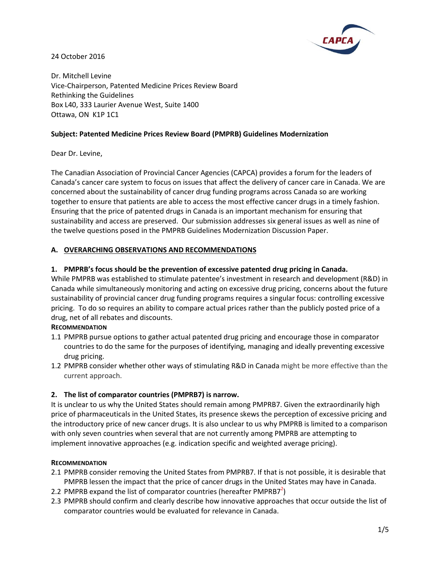

24 October 2016

Dr. Mitchell Levine Vice-Chairperson, Patented Medicine Prices Review Board Rethinking the Guidelines Box L40, 333 Laurier Avenue West, Suite 1400 Ottawa, ON K1P 1C1

#### **Subject: Patented Medicine Prices Review Board (PMPRB) Guidelines Modernization**

Dear Dr. Levine,

The Canadian Association of Provincial Cancer Agencies (CAPCA) provides a forum for the leaders of Canada's cancer care system to focus on issues that affect the delivery of cancer care in Canada. We are concerned about the sustainability of cancer drug funding programs across Canada so are working together to ensure that patients are able to access the most effective cancer drugs in a timely fashion. Ensuring that the price of patented drugs in Canada is an important mechanism for ensuring that sustainability and access are preserved. Our submission addresses six general issues as well as nine of the twelve questions posed in the PMPRB Guidelines Modernization Discussion Paper.

#### **A. OVERARCHING OBSERVATIONS AND RECOMMENDATIONS**

#### **1. PMPRB's focus should be the prevention of excessive patented drug pricing in Canada.**

While PMPRB was established to stimulate patentee's investment in research and development (R&D) in Canada while simultaneously monitoring and acting on excessive drug pricing, concerns about the future sustainability of provincial cancer drug funding programs requires a singular focus: controlling excessive pricing. To do so requires an ability to compare actual prices rather than the publicly posted price of a drug, net of all rebates and discounts.

#### **RECOMMENDATION**

- 1.1 PMPRB pursue options to gather actual patented drug pricing and encourage those in comparator countries to do the same for the purposes of identifying, managing and ideally preventing excessive drug pricing.
- 1.2 PMPRB consider whether other ways of stimulating R&D in Canada might be more effective than the current approach.

# **2. The list of comparator countries (PMPRB7) is narrow.**

It is unclear to us why the United States should remain among PMPRB7. Given the extraordinarily high price of pharmaceuticals in the United States, its presence skews the perception of excessive pricing and the introductory price of new cancer drugs. It is also unclear to us why PMPRB is limited to a comparison with only seven countries when several that are not currently among PMPRB are attempting to implement innovative approaches (e.g. indication specific and weighted average pricing).

#### **RECOMMENDATION**

- 2.1 PMPRB consider removing the United States from PMPRB7. If that is not possible, it is desirable that PMPRB lessen the impact that the price of cancer drugs in the United States may have in Canada.
- 2.2 PMPRB expand the list of comparator countries (hereafter PMPRB7 $^2$ )
- 2.3 PMPRB should confirm and clearly describe how innovative approaches that occur outside the list of comparator countries would be evaluated for relevance in Canada.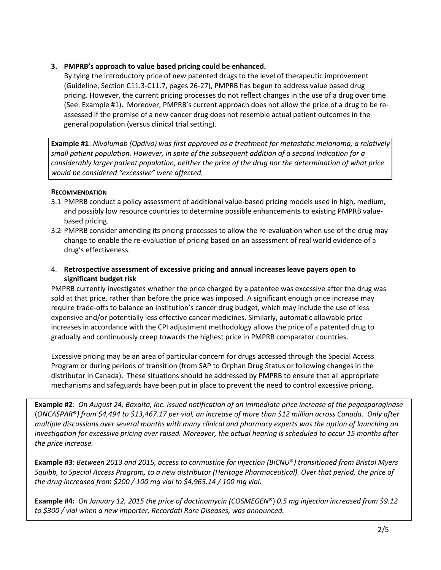### **3. PMPRB's approach to value based pricing could be enhanced.**

By tying the introductory price of new patented drugs to the level of therapeutic improvement (Guideline, Section C11.3-C11.7, pages 26-27), PMPRB has begun to address value based drug pricing. However, the current pricing processes do not reflect changes in the use of a drug over time (See: Example #1). Moreover, PMPRB's current approach does not allow the price of a drug to be reassessed if the promise of a new cancer drug does not resemble actual patient outcomes in the general population (versus clinical trial setting).

**Example #1**: *Nivolumab (Opdivo) was first approved as a treatment for metastatic melanoma, a relatively small patient population. However, in spite of the subsequent addition of a second indication for a considerably larger patient population, neither the price of the drug nor the determination of what price would be considered "excessive" were affected.*

#### **RECOMMENDATION**

- 3.1 PMPRB conduct a policy assessment of additional value-based pricing models used in high, medium, and possibly low resource countries to determine possible enhancements to existing PMPRB valuebased pricing.
- 3.2 PMPRB consider amending its pricing processes to allow the re-evaluation when use of the drug may change to enable the re-evaluation of pricing based on an assessment of real world evidence of a drug's effectiveness.
- 4. **Retrospective assessment of excessive pricing and annual increases leave payers open to significant budget risk**

PMPRB currently investigates whether the price charged by a patentee was excessive after the drug was sold at that price, rather than before the price was imposed. A significant enough price increase may require trade-offs to balance an institution's cancer drug budget, which may include the use of less expensive and/or potentially less effective cancer medicines. Similarly, automatic allowable price increases in accordance with the CPI adjustment methodology allows the price of a patented drug to gradually and continuously creep towards the highest price in PMPRB comparator countries.

Excessive pricing may be an area of particular concern for drugs accessed through the Special Access Program or during periods of transition (from SAP to Orphan Drug Status or following changes in the distributor in Canada). These situations should be addressed by PMPRB to ensure that all appropriate mechanisms and safeguards have been put in place to prevent the need to control excessive pricing.

**Example #2**: *On August 24, Baxalta, Inc. issued notification of an immediate price increase of the pegasparaginase* (*ONCASPAR*®*) from \$4,494 to \$13,467.17 per vial, an increase of more than \$12 million across Canada. Only after multiple discussions over several months with many clinical and pharmacy experts was the option of launching an investigation for excessive pricing ever raised. Moreover, the actual hearing is scheduled to occur 15 months after the price increase.* 

**Example #3**: *Between 2013 and 2015, access to carmustine for injection (BiCNU*®*) transitioned from Bristol Myers Squibb, to Special Access Program, to a new distributor (Heritage Pharmaceutical). Over that period, the price of the drug increased from \$200 / 100 mg vial to \$4,965.14 / 100 mg vial.*

**Example #4:** *On January 12, 2015 the price of dactinomycin (COSMEGEN*®) *0.5 mg injection increased from \$9.12 to \$300 / vial when a new importer, Recordati Rare Diseases, was announced.*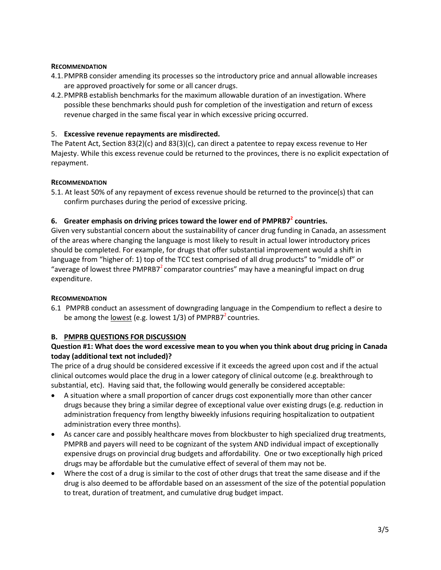#### **RECOMMENDATION**

- 4.1.PMPRB consider amending its processes so the introductory price and annual allowable increases are approved proactively for some or all cancer drugs.
- 4.2.PMPRB establish benchmarks for the maximum allowable duration of an investigation. Where possible these benchmarks should push for completion of the investigation and return of excess revenue charged in the same fiscal year in which excessive pricing occurred.

# 5. **Excessive revenue repayments are misdirected.**

The Patent Act, Section 83(2)(c) and 83(3)(c), can direct a patentee to repay excess revenue to Her Majesty. While this excess revenue could be returned to the provinces, there is no explicit expectation of repayment.

# **RECOMMENDATION**

5.1. At least 50% of any repayment of excess revenue should be returned to the province(s) that can confirm purchases during the period of excessive pricing.

# **6. Greater emphasis on driving prices toward the lower end of PMPRB7<sup>2</sup> countries.**

Given very substantial concern about the sustainability of cancer drug funding in Canada, an assessment of the areas where changing the language is most likely to result in actual lower introductory prices should be completed. For example, for drugs that offer substantial improvement would a shift in language from "higher of: 1) top of the TCC test comprised of all drug products" to "middle of" or "average of lowest three PMPRB7 $^2$ comparator countries" may have a meaningful impact on drug expenditure.

# **RECOMMENDATION**

6.1 PMPRB conduct an assessment of downgrading language in the Compendium to reflect a desire to be among the <u>lowest</u> (e.g. lowest  $1/3$ ) of PMPRB7<sup>2</sup> countries.

# **B. PMPRB QUESTIONS FOR DISCUSSION**

# **Question #1: What does the word excessive mean to you when you think about drug pricing in Canada today (additional text not included)?**

The price of a drug should be considered excessive if it exceeds the agreed upon cost and if the actual clinical outcomes would place the drug in a lower category of clinical outcome (e.g. breakthrough to substantial, etc). Having said that, the following would generally be considered acceptable:

- A situation where a small proportion of cancer drugs cost exponentially more than other cancer drugs because they bring a similar degree of exceptional value over existing drugs (e.g. reduction in administration frequency from lengthy biweekly infusions requiring hospitalization to outpatient administration every three months).
- As cancer care and possibly healthcare moves from blockbuster to high specialized drug treatments, PMPRB and payers will need to be cognizant of the system AND individual impact of exceptionally expensive drugs on provincial drug budgets and affordability. One or two exceptionally high priced drugs may be affordable but the cumulative effect of several of them may not be.
- Where the cost of a drug is similar to the cost of other drugs that treat the same disease and if the drug is also deemed to be affordable based on an assessment of the size of the potential population to treat, duration of treatment, and cumulative drug budget impact.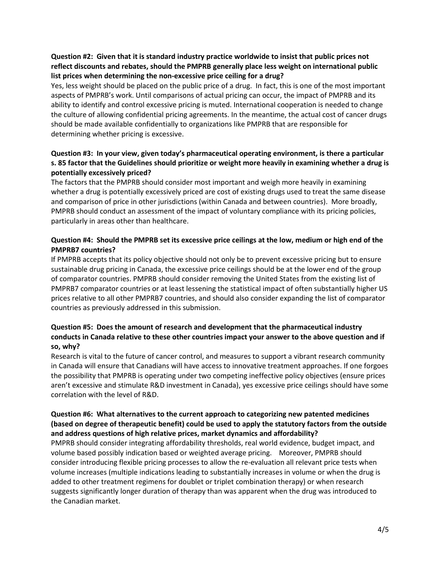# **Question #2: Given that it is standard industry practice worldwide to insist that public prices not reflect discounts and rebates, should the PMPRB generally place less weight on international public list prices when determining the non-excessive price ceiling for a drug?**

Yes, less weight should be placed on the public price of a drug. In fact, this is one of the most important aspects of PMPRB's work. Until comparisons of actual pricing can occur, the impact of PMPRB and its ability to identify and control excessive pricing is muted. International cooperation is needed to change the culture of allowing confidential pricing agreements. In the meantime, the actual cost of cancer drugs should be made available confidentially to organizations like PMPRB that are responsible for determining whether pricing is excessive.

# **Question #3: In your view, given today's pharmaceutical operating environment, is there a particular s. 85 factor that the Guidelines should prioritize or weight more heavily in examining whether a drug is potentially excessively priced?**

The factors that the PMPRB should consider most important and weigh more heavily in examining whether a drug is potentially excessively priced are cost of existing drugs used to treat the same disease and comparison of price in other jurisdictions (within Canada and between countries). More broadly, PMPRB should conduct an assessment of the impact of voluntary compliance with its pricing policies, particularly in areas other than healthcare.

# **Question #4: Should the PMPRB set its excessive price ceilings at the low, medium or high end of the PMPRB7 countries?**

If PMPRB accepts that its policy objective should not only be to prevent excessive pricing but to ensure sustainable drug pricing in Canada, the excessive price ceilings should be at the lower end of the group of comparator countries. PMPRB should consider removing the United States from the existing list of PMPRB7 comparator countries or at least lessening the statistical impact of often substantially higher US prices relative to all other PMPRB7 countries, and should also consider expanding the list of comparator countries as previously addressed in this submission.

# **Question #5: Does the amount of research and development that the pharmaceutical industry conducts in Canada relative to these other countries impact your answer to the above question and if so, why?**

Research is vital to the future of cancer control, and measures to support a vibrant research community in Canada will ensure that Canadians will have access to innovative treatment approaches. If one forgoes the possibility that PMPRB is operating under two competing ineffective policy objectives (ensure prices aren't excessive and stimulate R&D investment in Canada), yes excessive price ceilings should have some correlation with the level of R&D.

### **Question #6: What alternatives to the current approach to categorizing new patented medicines (based on degree of therapeutic benefit) could be used to apply the statutory factors from the outside and address questions of high relative prices, market dynamics and affordability?**

PMPRB should consider integrating affordability thresholds, real world evidence, budget impact, and volume based possibly indication based or weighted average pricing. Moreover, PMPRB should consider introducing flexible pricing processes to allow the re-evaluation all relevant price tests when volume increases (multiple indications leading to substantially increases in volume or when the drug is added to other treatment regimens for doublet or triplet combination therapy) or when research suggests significantly longer duration of therapy than was apparent when the drug was introduced to the Canadian market.